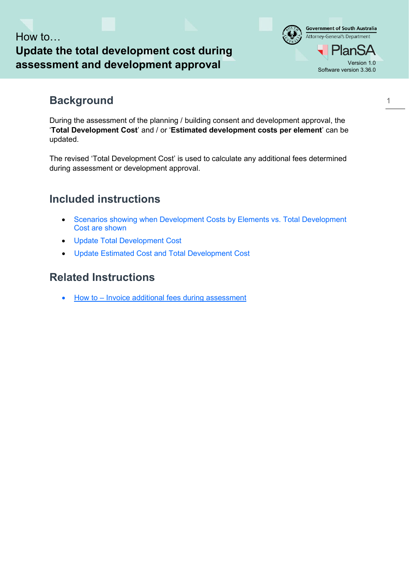## How to… **Update the total development cost during assessment and development approval version 1.0**

### **Background**

During the assessment of the planning / building consent and development approval, the '**Total Development Cost**' and / or '**Estimated development costs per element**' can be updated.

The revised 'Total Development Cost' is used to calculate any additional fees determined during assessment or development approval.

## **Included instructions**

- [Scenarios showing when Development Costs by Elements vs. Total Development](#page-1-0)  [Cost are shown](#page-1-0)
- [Update Total Development Cost](#page-2-0)
- [Update Estimated Cost and Total Development Cost](#page-4-0)

### **Related Instructions**

• [How to – Invoice additional fees during assessment](https://plan.sa.gov.au/support/how_to.../invoice_additional_fees_during_assessment)

Software version 3.36.0

**Government of South Australia** Attorney-General's Department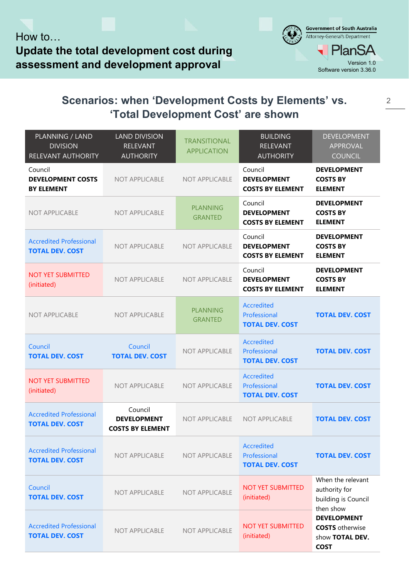# <span id="page-1-0"></span>**Scenarios: when 'Development Costs by Elements' vs. 'Total Development Cost' are shown**

| PLANNING / LAND<br><b>DIVISION</b><br>RELEVANT AUTHORITY | <b>LAND DIVISION</b><br><b>RELEVANT</b><br><b>AUTHORITY</b> | <b>TRANSITIONAL</b><br><b>APPLICATION</b> | <b>BUILDING</b><br><b>RELEVANT</b><br><b>AUTHORITY</b>      | <b>DEVELOPMENT</b><br><b>APPROVAL</b><br><b>COUNCIL</b>                        |
|----------------------------------------------------------|-------------------------------------------------------------|-------------------------------------------|-------------------------------------------------------------|--------------------------------------------------------------------------------|
| Council<br><b>DEVELOPMENT COSTS</b><br><b>BY ELEMENT</b> | <b>NOT APPLICABLE</b>                                       | <b>NOT APPLICABLE</b>                     | Council<br><b>DEVELOPMENT</b><br><b>COSTS BY ELEMENT</b>    | <b>DEVELOPMENT</b><br><b>COSTS BY</b><br><b>ELEMENT</b>                        |
| <b>NOT APPLICABLE</b>                                    | <b>NOT APPLICABLE</b>                                       | <b>PLANNING</b><br><b>GRANTED</b>         | Council<br><b>DEVELOPMENT</b><br><b>COSTS BY ELEMENT</b>    | <b>DEVELOPMENT</b><br><b>COSTS BY</b><br><b>ELEMENT</b>                        |
| <b>Accredited Professional</b><br><b>TOTAL DEV. COST</b> | <b>NOT APPLICABLE</b>                                       | <b>NOT APPLICABLE</b>                     | Council<br><b>DEVELOPMENT</b><br><b>COSTS BY ELEMENT</b>    | <b>DEVELOPMENT</b><br><b>COSTS BY</b><br><b>ELEMENT</b>                        |
| <b>NOT YET SUBMITTED</b><br>(initiated)                  | <b>NOT APPLICABLE</b>                                       | NOT APPLICABLE                            | Council<br><b>DEVELOPMENT</b><br><b>COSTS BY ELEMENT</b>    | <b>DEVELOPMENT</b><br><b>COSTS BY</b><br><b>ELEMENT</b>                        |
| <b>NOT APPLICABLE</b>                                    | <b>NOT APPLICABLE</b>                                       | <b>PLANNING</b><br><b>GRANTED</b>         | <b>Accredited</b><br>Professional<br><b>TOTAL DEV. COST</b> | <b>TOTAL DEV. COST</b>                                                         |
| Council<br><b>TOTAL DEV. COST</b>                        | Council<br><b>TOTAL DEV. COST</b>                           | <b>NOT APPLICABLE</b>                     | <b>Accredited</b><br>Professional<br><b>TOTAL DEV. COST</b> | <b>TOTAL DEV. COST</b>                                                         |
| <b>NOT YET SUBMITTED</b><br>(initiated)                  | <b>NOT APPLICABLE</b>                                       | NOT APPLICABLE                            | <b>Accredited</b><br>Professional<br><b>TOTAL DEV. COST</b> | <b>TOTAL DEV. COST</b>                                                         |
| <b>Accredited Professional</b><br><b>TOTAL DEV. COST</b> | Council<br><b>DEVELOPMENT</b><br><b>COSTS BY ELEMENT</b>    | <b>NOT APPLICABLE</b>                     | NOT APPLICABLE                                              | <b>TOTAL DEV. COST</b>                                                         |
| <b>Accredited Professional</b><br><b>TOTAL DEV. COST</b> | <b>NOT APPLICABLE</b>                                       | <b>NOT APPLICABLE</b>                     | <b>Accredited</b><br>Professional<br><b>TOTAL DEV. COST</b> | <b>TOTAL DEV. COST</b>                                                         |
| Council<br><b>TOTAL DEV. COST</b>                        | <b>NOT APPLICABLE</b>                                       | <b>NOT APPLICABLE</b>                     | <b>NOT YET SUBMITTED</b><br>(initiated)                     | When the relevant<br>authority for<br>building is Council<br>then show         |
| <b>Accredited Professional</b><br><b>TOTAL DEV. COST</b> | NOT APPLICABLE                                              | NOT APPLICABLE                            | <b>NOT YET SUBMITTED</b><br>(initiated)                     | <b>DEVELOPMENT</b><br><b>COSTS</b> otherwise<br>show TOTAL DEV.<br><b>COST</b> |

Software version 3.36.0

**Government of South Australia** Attorney-General's Department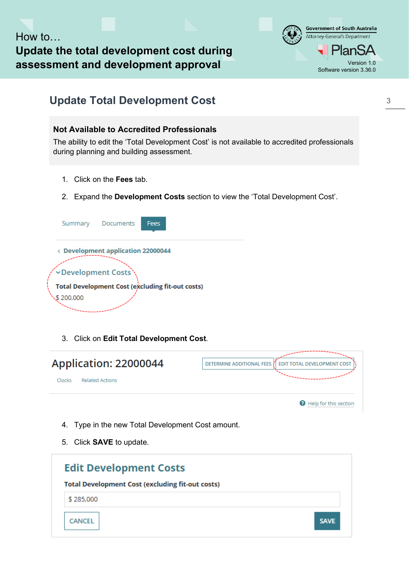How to… **Update the total development cost during assessment and development approval version 1.0** 



## <span id="page-2-0"></span>**Update Total Development Cost**

### **Not Available to Accredited Professionals**

The ability to edit the 'Total Development Cost' is not available to accredited professionals during planning and building assessment.

- 1. Click on the **Fees** tab.
- 2. Expand the **Development Costs** section to view the 'Total Development Cost'.



3. Click on **Edit Total Development Cost**.

| Application: 22000044            | DETERMINE ADDITIONAL FEES   EDIT TOTAL DEVELOPMENT COST |
|----------------------------------|---------------------------------------------------------|
| <b>Related Actions</b><br>Clocks |                                                         |
|                                  | <b>O</b> Help for this section                          |

- 4. Type in the new Total Development Cost amount.
- 5. Click **SAVE** to update.

| <b>Edit Development Costs</b>                           |             |
|---------------------------------------------------------|-------------|
| <b>Total Development Cost (excluding fit-out costs)</b> |             |
| \$285,000                                               |             |
| CANCEL                                                  | <b>SAVE</b> |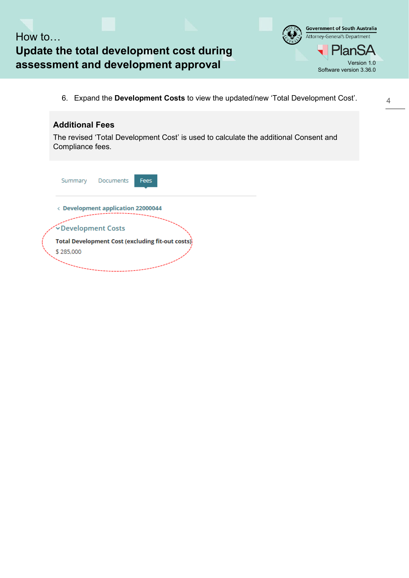How to… **Update the total development cost during assessment and development approval** Version 1.0

6. Expand the **Development Costs** to view the updated/new 'Total Development Cost'.



Software version 3.36.0

**Government of South Australia** Attorney-General's Department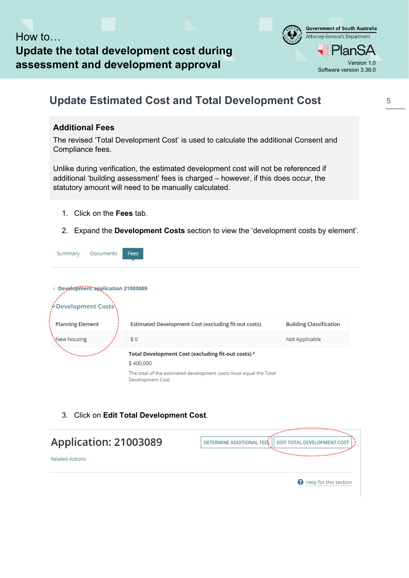

# <span id="page-4-0"></span>**Update Estimated Cost and Total Development Cost**

### **Additional Fees**

The revised 'Total Development Cost' is used to calculate the additional Consent and Compliance fees.

Unlike during verification, the estimated development cost will not be referenced if additional 'building assessment' fees is charged – however, if this does occur, the statutory amount will need to be manually calculated.

- 1. Click on the **Fees** tab.
- 2. Expand the **Development Costs** section to view the 'development costs by element'.

|  | Summary Documents Fees           |  |  |
|--|----------------------------------|--|--|
|  | Development application 21003089 |  |  |

| <b>Personnelle application Electronic</b><br>Development Costs) |                                                                                        |                                |
|-----------------------------------------------------------------|----------------------------------------------------------------------------------------|--------------------------------|
| <b>Planning Element</b>                                         | Estimated Development Cost (excluding fit-out costs)                                   | <b>Building Classification</b> |
| New housing                                                     | \$0                                                                                    | Not Applicable                 |
|                                                                 | Total Development Cost (excluding fit-out costs)*                                      |                                |
|                                                                 | \$400,000                                                                              |                                |
|                                                                 | The total of the estimated development costs must equal the Total<br>Development Cost. |                                |

3. Click on **Edit Total Development Cost**.

| Application: 21003089  | DETERMINE ADDITIONAL FEES<br><b>I EDIT TOTAL DEVELOPMENT COST</b> |
|------------------------|-------------------------------------------------------------------|
| <b>Related Actions</b> |                                                                   |
|                        | <b>B</b> Help for this section                                    |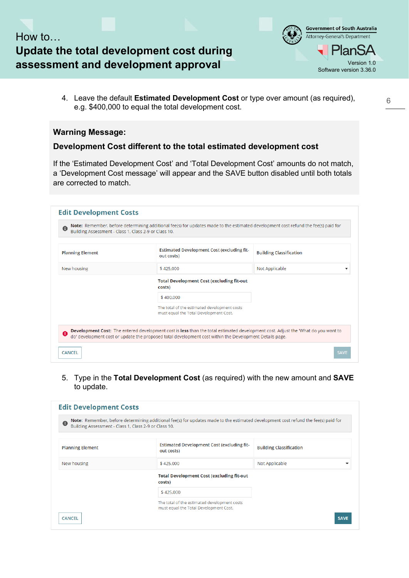



4. Leave the default **Estimated Development Cost** or type over amount (as required), e.g. \$400,000 to equal the total development cost.

#### **Warning Message:**

#### **Development Cost different to the total estimated development cost**

If the 'Estimated Development Cost' and 'Total Development Cost' amounts do not match, a 'Development Cost message' will appear and the SAVE button disabled until both totals are corrected to match.

| G<br>Building Assessment - Class 1, Class 2-9 or Class 10. | Note: Remember, before determining additional fee(s) for updates made to the estimated development cost refund the fee(s) paid for                                                                                             |                                |
|------------------------------------------------------------|--------------------------------------------------------------------------------------------------------------------------------------------------------------------------------------------------------------------------------|--------------------------------|
| <b>Planning Element</b>                                    | Estimated Development Cost (excluding fit-<br>out costs)                                                                                                                                                                       | <b>Building Classification</b> |
| New housing                                                | \$425,000                                                                                                                                                                                                                      | Not Applicable                 |
|                                                            | <b>Total Development Cost (excluding fit-out</b><br>costs)                                                                                                                                                                     |                                |
|                                                            | \$400,000                                                                                                                                                                                                                      |                                |
|                                                            | The total of the estimated development costs<br>must equal the Total Development Cost.                                                                                                                                         |                                |
|                                                            | Development Cost: The entered development cost is less than the total estimated development cost. Adjust the 'What do you want to do' development cost or update the proposed total development cost or update the proposed to |                                |

5. Type in the **Total Development Cost** (as required) with the new amount and **SAVE** to update.

| $\bullet$<br>Building Assessment - Class 1, Class 2-9 or Class 10. | Note: Remember, before determining additional fee(s) for updates made to the estimated development cost refund the fee(s) paid for |                                |
|--------------------------------------------------------------------|------------------------------------------------------------------------------------------------------------------------------------|--------------------------------|
| <b>Planning Element</b>                                            | Estimated Development Cost (excluding fit-<br>out costs)                                                                           | <b>Building Classification</b> |
| New housing                                                        | \$425,000                                                                                                                          | Not Applicable                 |
|                                                                    | <b>Total Development Cost (excluding fit-out</b><br>costs)                                                                         |                                |
|                                                                    | \$425,000                                                                                                                          |                                |
|                                                                    | The total of the estimated development costs<br>must equal the Total Development Cost.                                             |                                |
| <b>CANCEL</b>                                                      |                                                                                                                                    | <b>SAVE</b>                    |